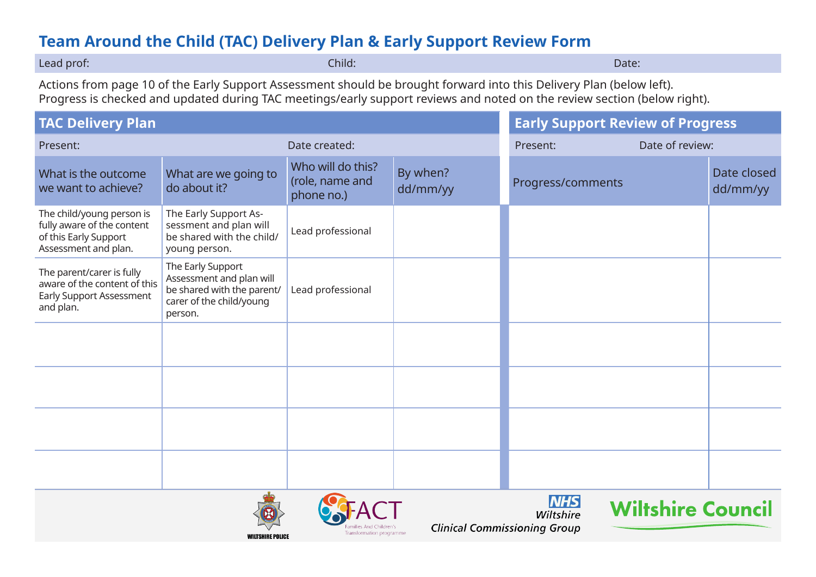## **Team Around the Child (TAC) Delivery Plan & Early Support Review Form**

| Lead prof: | $-1$ $-1$ | Date: |
|------------|-----------|-------|
|------------|-----------|-------|

Actions from page 10 of the Early Support Assessment should be brought forward into this Delivery Plan (below left). Progress is checked and updated during TAC meetings/early support reviews and noted on the review section (below right).

| <b>TAC Delivery Plan</b>                                                                                 |                                                                                                                    | <b>Early Support Review of Progress</b>            |                      |                         |                          |                         |
|----------------------------------------------------------------------------------------------------------|--------------------------------------------------------------------------------------------------------------------|----------------------------------------------------|----------------------|-------------------------|--------------------------|-------------------------|
| Present:                                                                                                 | Date created:                                                                                                      |                                                    | Present:             | Date of review:         |                          |                         |
| What is the outcome<br>we want to achieve?                                                               | What are we going to<br>do about it?                                                                               | Who will do this?<br>(role, name and<br>phone no.) | By when?<br>dd/mm/yy | Progress/comments       |                          | Date closed<br>dd/mm/yy |
| The child/young person is<br>fully aware of the content<br>of this Early Support<br>Assessment and plan. | The Early Support As-<br>sessment and plan will<br>be shared with the child/<br>young person.                      | Lead professional                                  |                      |                         |                          |                         |
| The parent/carer is fully<br>aware of the content of this<br>Early Support Assessment<br>and plan.       | The Early Support<br>Assessment and plan will<br>be shared with the parent/<br>carer of the child/young<br>person. | Lead professional                                  |                      |                         |                          |                         |
|                                                                                                          |                                                                                                                    |                                                    |                      |                         |                          |                         |
|                                                                                                          |                                                                                                                    |                                                    |                      |                         |                          |                         |
|                                                                                                          |                                                                                                                    |                                                    |                      |                         |                          |                         |
|                                                                                                          |                                                                                                                    |                                                    |                      |                         |                          |                         |
|                                                                                                          |                                                                                                                    |                                                    |                      | <b>NHS</b><br>Wiltshire | <b>Wiltshire Council</b> |                         |

amilies And Children's Transformation programme

**WILTSHIRE POLICE** 

**Clinical Commissioning Group**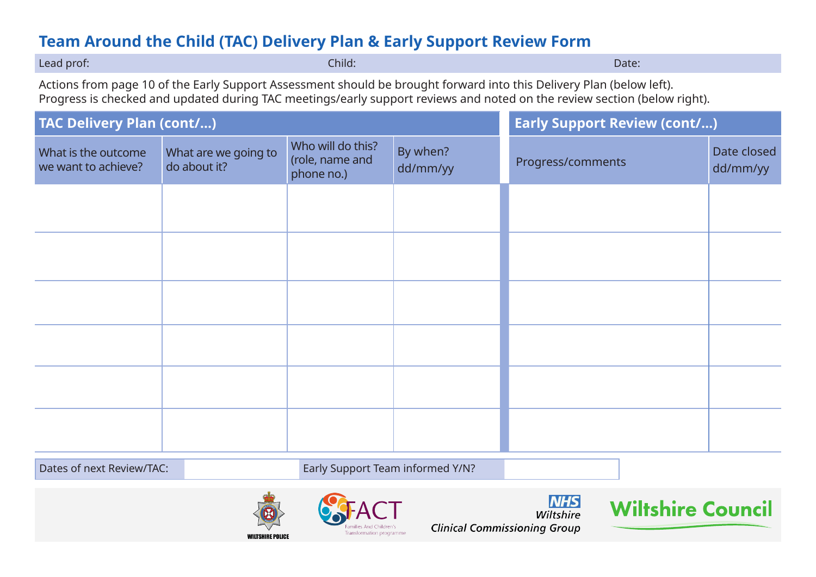## **Team Around the Child (TAC) Delivery Plan & Early Support Review Form**

| and the contract of the con-<br>Lead prof: | Child: | Date: |
|--------------------------------------------|--------|-------|
|--------------------------------------------|--------|-------|

Actions from page 10 of the Early Support Assessment should be brought forward into this Delivery Plan (below left). Progress is checked and updated during TAC meetings/early support reviews and noted on the review section (below right).

| <b>TAC Delivery Plan (cont/)</b>           |                                      | <b>Early Support Review (cont/)</b>                |                      |                                                                       |                          |                         |
|--------------------------------------------|--------------------------------------|----------------------------------------------------|----------------------|-----------------------------------------------------------------------|--------------------------|-------------------------|
| What is the outcome<br>we want to achieve? | What are we going to<br>do about it? | Who will do this?<br>(role, name and<br>phone no.) | By when?<br>dd/mm/yy | Progress/comments                                                     |                          | Date closed<br>dd/mm/yy |
|                                            |                                      |                                                    |                      |                                                                       |                          |                         |
|                                            |                                      |                                                    |                      |                                                                       |                          |                         |
|                                            |                                      |                                                    |                      |                                                                       |                          |                         |
|                                            |                                      |                                                    |                      |                                                                       |                          |                         |
|                                            |                                      |                                                    |                      |                                                                       |                          |                         |
|                                            |                                      |                                                    |                      |                                                                       |                          |                         |
| Dates of next Review/TAC:                  |                                      | Early Support Team informed Y/N?                   |                      |                                                                       |                          |                         |
|                                            | <b>WILTSHIRE POLICE</b>              | amilies And Children'<br>Transformation programme  |                      | <b>NHS</b><br><b>Wiltshire</b><br><b>Clinical Commissioning Group</b> | <b>Wiltshire Council</b> |                         |